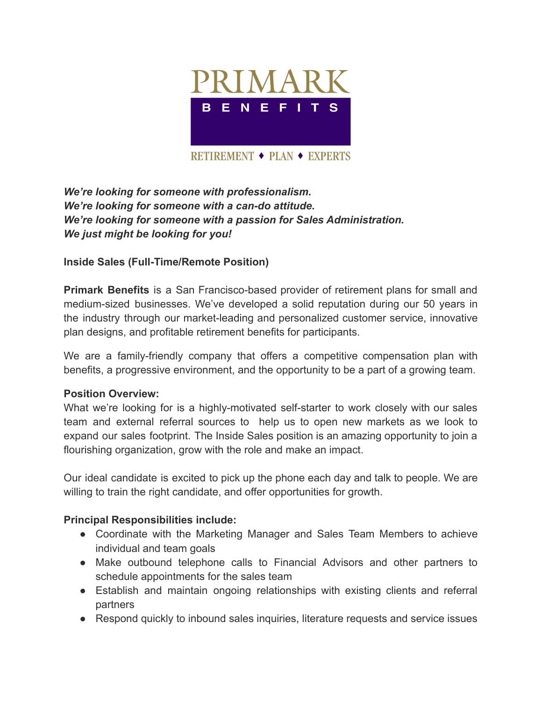

*We're looking for someone with professionalism. We're looking for someone with a can-do attitude. We're looking for someone with a passion for Sales Administration. We just might be looking for you!*

## **Inside Sales (Full-Time/Remote Position)**

**Primark Benefits** is a San Francisco-based provider of retirement plans for small and medium-sized businesses. We've developed a solid reputation during our 50 years in the industry through our market-leading and personalized customer service, innovative plan designs, and profitable retirement benefits for participants.

We are a family-friendly company that offers a competitive compensation plan with benefits, a progressive environment, and the opportunity to be a part of a growing team.

### **Position Overview:**

What we're looking for is a highly-motivated self-starter to work closely with our sales team and external referral sources to help us to open new markets as we look to expand our sales footprint. The Inside Sales position is an amazing opportunity to join a flourishing organization, grow with the role and make an impact.

Our ideal candidate is excited to pick up the phone each day and talk to people. We are willing to train the right candidate, and offer opportunities for growth.

### **Principal Responsibilities include:**

- Coordinate with the Marketing Manager and Sales Team Members to achieve individual and team goals
- Make outbound telephone calls to Financial Advisors and other partners to schedule appointments for the sales team
- Establish and maintain ongoing relationships with existing clients and referral partners
- Respond quickly to inbound sales inquiries, literature requests and service issues